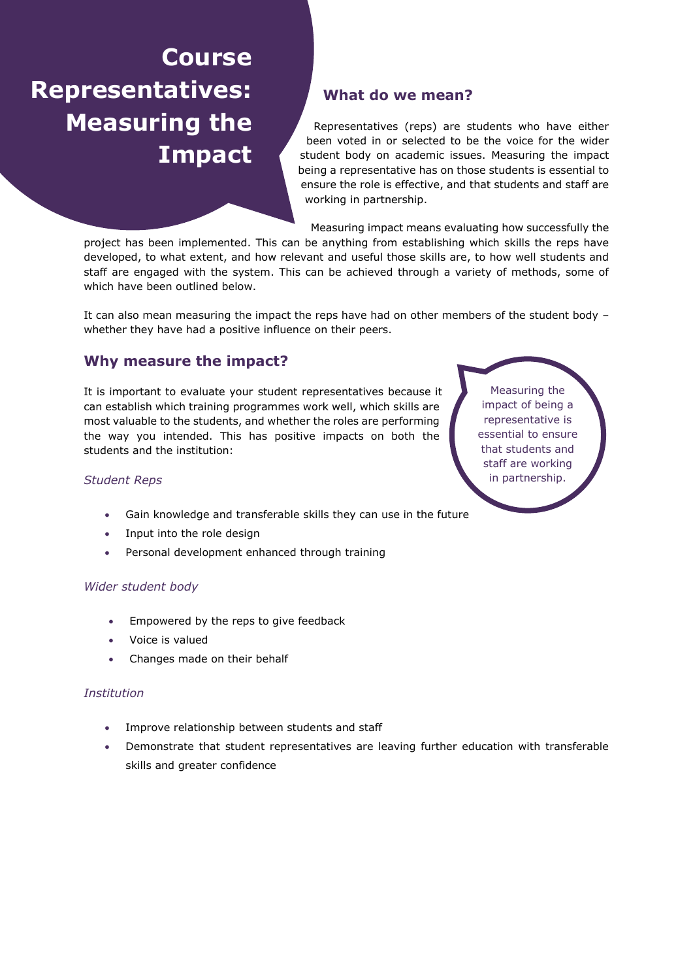# **Course Representatives: Measuring the Impact**

# **What do we mean?**

Representatives (reps) are students who have either been voted in or selected to be the voice for the wider student body on academic issues. Measuring the impact being a representative has on those students is essential to ensure the role is effective, and that students and staff are working in partnership.

Measuring impact means evaluating how successfully the

project has been implemented. This can be anything from establishing which skills the reps have developed, to what extent, and how relevant and useful those skills are, to how well students and staff are engaged with the system. This can be achieved through a variety of methods, some of which have been outlined below.

It can also mean measuring the impact the reps have had on other members of the student body – whether they have had a positive influence on their peers.

# **Why measure the impact?**

It is important to evaluate your student representatives because it can establish which training programmes work well, which skills are most valuable to the students, and whether the roles are performing the way you intended. This has positive impacts on both the students and the institution:

### *Student Reps*

- Gain knowledge and transferable skills they can use in the future
- Input into the role design
- Personal development enhanced through training

#### *Wider student body*

- Empowered by the reps to give feedback
- Voice is valued
- Changes made on their behalf

#### *Institution*

- Improve relationship between students and staff
- Demonstrate that student representatives are leaving further education with transferable skills and greater confidence

Measuring the impact of being a representative is essential to ensure that students and staff are working in partnership.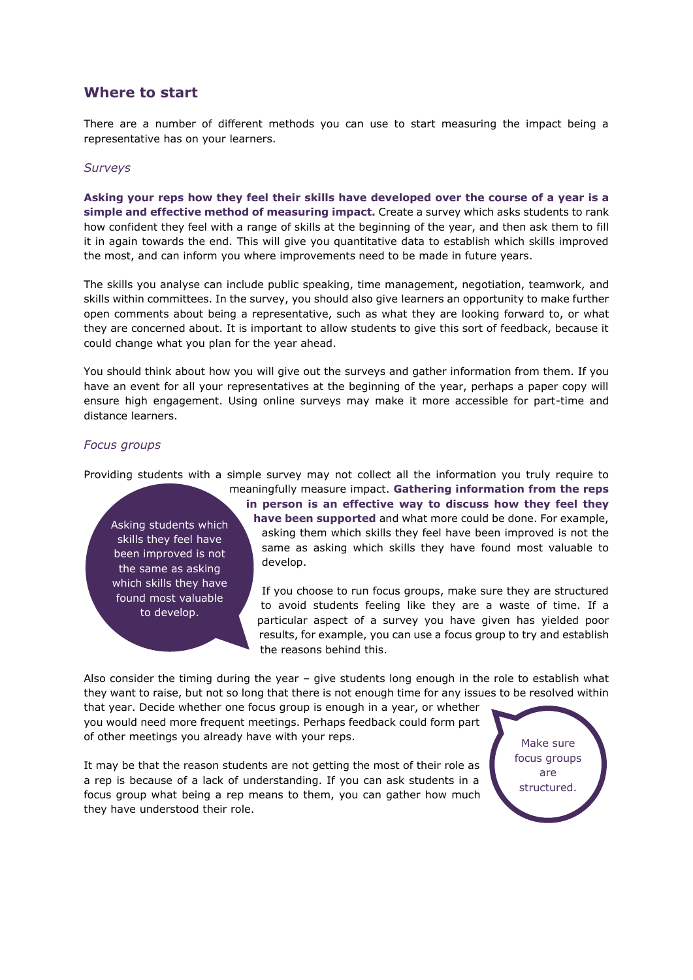## **Where to start**

There are a number of different methods you can use to start measuring the impact being a representative has on your learners.

#### *Surveys*

**Asking your reps how they feel their skills have developed over the course of a year is a simple and effective method of measuring impact.** Create a survey which asks students to rank how confident they feel with a range of skills at the beginning of the year, and then ask them to fill it in again towards the end. This will give you quantitative data to establish which skills improved the most, and can inform you where improvements need to be made in future years.

The skills you analyse can include public speaking, time management, negotiation, teamwork, and skills within committees. In the survey, you should also give learners an opportunity to make further open comments about being a representative, such as what they are looking forward to, or what they are concerned about. It is important to allow students to give this sort of feedback, because it could change what you plan for the year ahead.

You should think about how you will give out the surveys and gather information from them. If you have an event for all your representatives at the beginning of the year, perhaps a paper copy will ensure high engagement. Using online surveys may make it more accessible for part-time and distance learners.

#### *Focus groups*

Providing students with a simple survey may not collect all the information you truly require to

Asking students which skills they feel have been improved is not the same as asking which skills they have found most valuable to develop.

meaningfully measure impact. **Gathering information from the reps in person is an effective way to discuss how they feel they have been supported** and what more could be done. For example, asking them which skills they feel have been improved is not the same as asking which skills they have found most valuable to develop.

If you choose to run focus groups, make sure they are structured to avoid students feeling like they are a waste of time. If a particular aspect of a survey you have given has yielded poor results, for example, you can use a focus group to try and establish the reasons behind this.

Also consider the timing during the year – give students long enough in the role to establish what they want to raise, but not so long that there is not enough time for any issues to be resolved within

that year. Decide whether one focus group is enough in a year, or whether you would need more frequent meetings. Perhaps feedback could form part of other meetings you already have with your reps.

It may be that the reason students are not getting the most of their role as a rep is because of a lack of understanding. If you can ask students in a focus group what being a rep means to them, you can gather how much they have understood their role.

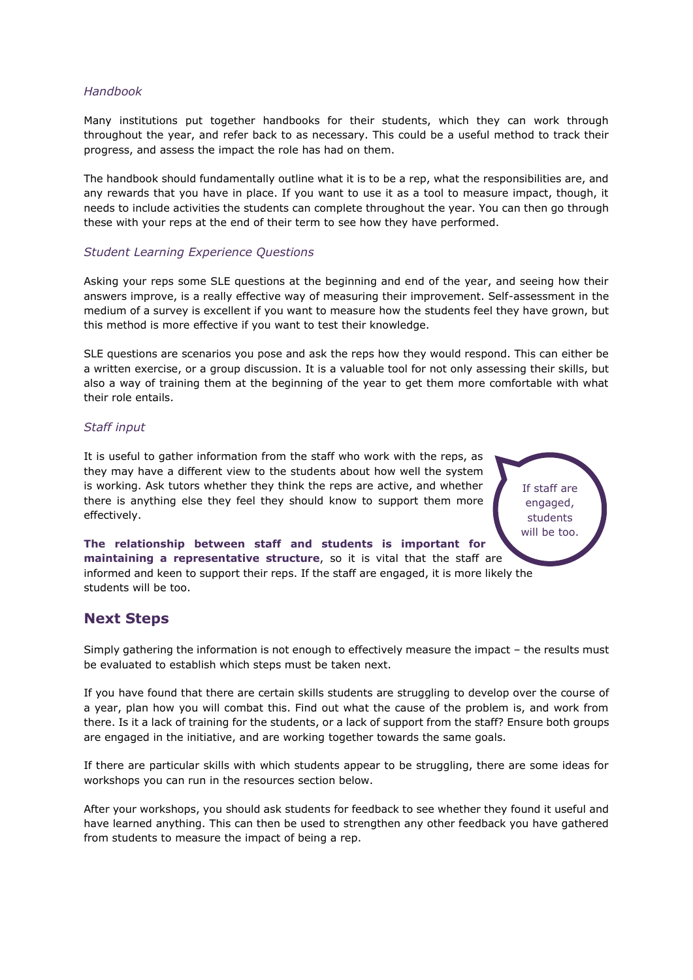#### *Handbook*

Many institutions put together handbooks for their students, which they can work through throughout the year, and refer back to as necessary. This could be a useful method to track their progress, and assess the impact the role has had on them.

The handbook should fundamentally outline what it is to be a rep, what the responsibilities are, and any rewards that you have in place. If you want to use it as a tool to measure impact, though, it needs to include activities the students can complete throughout the year. You can then go through these with your reps at the end of their term to see how they have performed.

#### *Student Learning Experience Questions*

Asking your reps some SLE questions at the beginning and end of the year, and seeing how their answers improve, is a really effective way of measuring their improvement. Self-assessment in the medium of a survey is excellent if you want to measure how the students feel they have grown, but this method is more effective if you want to test their knowledge.

SLE questions are scenarios you pose and ask the reps how they would respond. This can either be a written exercise, or a group discussion. It is a valuable tool for not only assessing their skills, but also a way of training them at the beginning of the year to get them more comfortable with what their role entails.

> If staff are engaged, students will be too.

#### *Staff input*

It is useful to gather information from the staff who work with the reps, as they may have a different view to the students about how well the system is working. Ask tutors whether they think the reps are active, and whether there is anything else they feel they should know to support them more effectively.

**The relationship between staff and students is important for maintaining a representative structure**, so it is vital that the staff are informed and keen to support their reps. If the staff are engaged, it is more likely the students will be too.

## **Next Steps**

Simply gathering the information is not enough to effectively measure the impact – the results must be evaluated to establish which steps must be taken next.

If you have found that there are certain skills students are struggling to develop over the course of a year, plan how you will combat this. Find out what the cause of the problem is, and work from there. Is it a lack of training for the students, or a lack of support from the staff? Ensure both groups are engaged in the initiative, and are working together towards the same goals.

If there are particular skills with which students appear to be struggling, there are some ideas for workshops you can run in the resources section below.

After your workshops, you should ask students for feedback to see whether they found it useful and have learned anything. This can then be used to strengthen any other feedback you have gathered from students to measure the impact of being a rep.